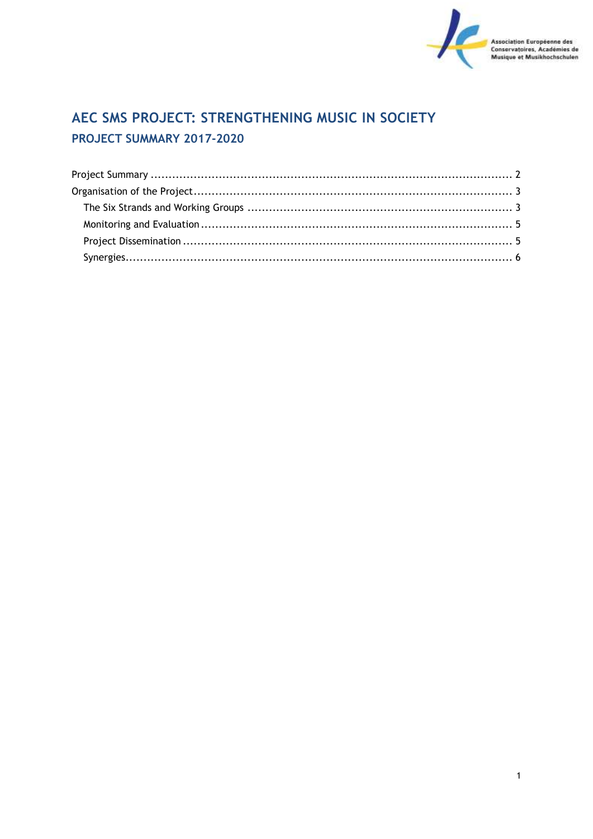

# AEC SMS PROJECT: STRENGTHENING MUSIC IN SOCIETY PROJECT SUMMARY 2017-2020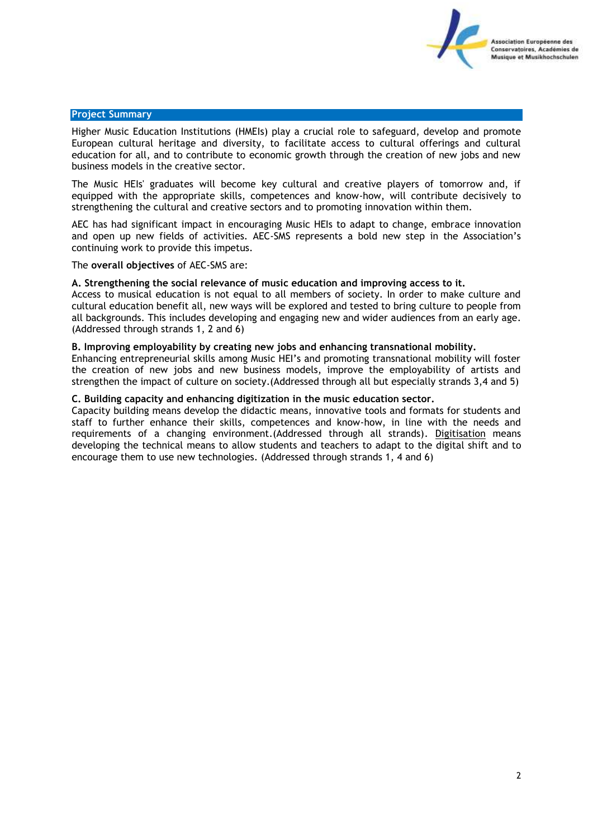

### <span id="page-1-0"></span>**Project Summary**

Higher Music Education Institutions (HMEIs) play a crucial role to safeguard, develop and promote European cultural heritage and diversity, to facilitate access to cultural offerings and cultural education for all, and to contribute to economic growth through the creation of new jobs and new business models in the creative sector.

The Music HEIs' graduates will become key cultural and creative players of tomorrow and, if equipped with the appropriate skills, competences and know-how, will contribute decisively to strengthening the cultural and creative sectors and to promoting innovation within them.

AEC has had significant impact in encouraging Music HEIs to adapt to change, embrace innovation and open up new fields of activities. AEC-SMS represents a bold new step in the Association's continuing work to provide this impetus.

The **overall objectives** of AEC-SMS are:

## **A. Strengthening the social relevance of music education and improving access to it.**

Access to musical education is not equal to all members of society. In order to make culture and cultural education benefit all, new ways will be explored and tested to bring culture to people from all backgrounds. This includes developing and engaging new and wider audiences from an early age. (Addressed through strands 1, 2 and 6)

## **B. Improving employability by creating new jobs and enhancing transnational mobility.**

Enhancing entrepreneurial skills among Music HEI's and promoting transnational mobility will foster the creation of new jobs and new business models, improve the employability of artists and strengthen the impact of culture on society.(Addressed through all but especially strands 3,4 and 5)

# **C. Building capacity and enhancing digitization in the music education sector.**

Capacity building means develop the didactic means, innovative tools and formats for students and staff to further enhance their skills, competences and know-how, in line with the needs and requirements of a changing environment.(Addressed through all strands). Digitisation means developing the technical means to allow students and teachers to adapt to the digital shift and to encourage them to use new technologies. (Addressed through strands 1, 4 and 6)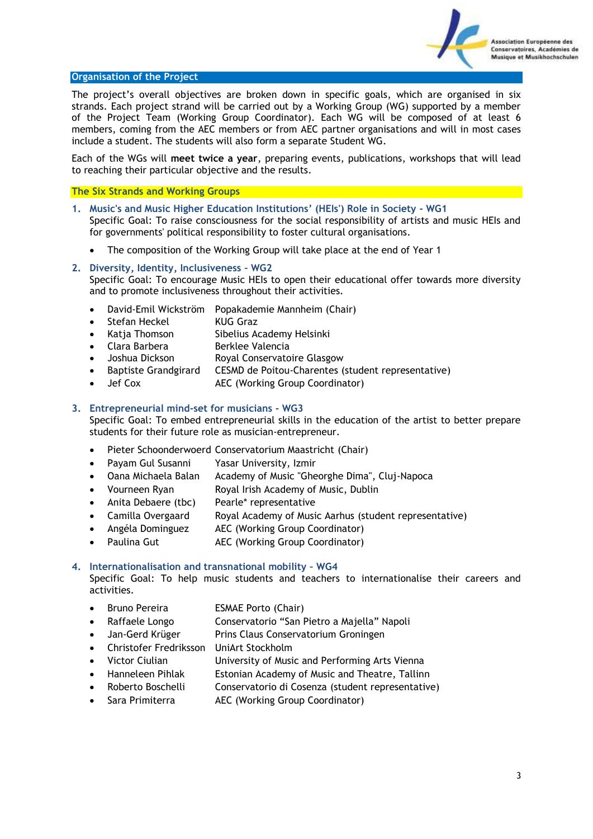

## <span id="page-2-0"></span>**Organisation of the Project**

The project's overall objectives are broken down in specific goals, which are organised in six strands. Each project strand will be carried out by a Working Group (WG) supported by a member of the Project Team (Working Group Coordinator). Each WG will be composed of at least 6 members, coming from the AEC members or from AEC partner organisations and will in most cases include a student. The students will also form a separate Student WG.

Each of the WGs will **meet twice a year**, preparing events, publications, workshops that will lead to reaching their particular objective and the results.

#### <span id="page-2-1"></span>**The Six Strands and Working Groups**

- **1. Music's and Music Higher Education Institutions' (HEIs') Role in Society - WG1** Specific Goal: To raise consciousness for the social responsibility of artists and music HEIs and for governments' political responsibility to foster cultural organisations.
	- The composition of the Working Group will take place at the end of Year 1

#### **2. Diversity, Identity, Inclusiveness – WG2**

Specific Goal: To encourage Music HEIs to open their educational offer towards more diversity and to promote inclusiveness throughout their activities.

- David-Emil Wickström Popakademie Mannheim (Chair)
- Stefan Heckel KUG Graz
- Katja Thomson Sibelius Academy Helsinki
- Clara Barbera Berklee Valencia
- Joshua Dickson Royal Conservatoire Glasgow
- Baptiste Grandgirard CESMD de Poitou-Charentes (student representative)
- Jef Cox AEC (Working Group Coordinator)

# **3. Entrepreneurial mind-set for musicians - WG3**

Specific Goal: To embed entrepreneurial skills in the education of the artist to better prepare students for their future role as musician-entrepreneur.

- Pieter Schoonderwoerd Conservatorium Maastricht (Chair)
- Payam Gul Susanni Yasar University, Izmir
- Oana Michaela Balan Academy of Music "Gheorghe Dima", Cluj-Napoca
- Vourneen Ryan Royal Irish Academy of Music, Dublin
- Anita Debaere (tbc) Pearle\* representative
- Camilla Overgaard Royal Academy of Music Aarhus (student representative)
- Angéla Dominguez AEC (Working Group Coordinator)
- Paulina Gut AEC (Working Group Coordinator)

# **4. Internationalisation and transnational mobility – WG4**

Specific Goal: To help music students and teachers to internationalise their careers and activities.

- Bruno Pereira **ESMAE Porto (Chair)**
- Raffaele Longo Conservatorio "San Pietro a Majella" Napoli
- Jan-Gerd Krüger Prins Claus Conservatorium Groningen
- Christofer Fredriksson UniArt Stockholm
- Victor Ciulian University of Music and Performing Arts Vienna
- Hanneleen Pihlak Estonian Academy of Music and Theatre, Tallinn
- Roberto Boschelli Conservatorio di Cosenza (student representative)
- Sara Primiterra AEC (Working Group Coordinator)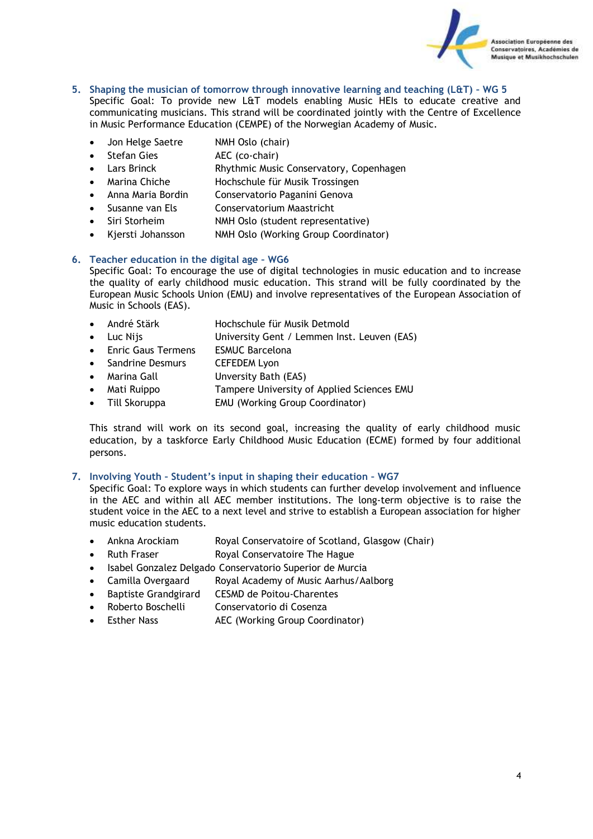

- **5. Shaping the musician of tomorrow through innovative learning and teaching (L&T) – WG 5** Specific Goal: To provide new L&T models enabling Music HEIs to educate creative and communicating musicians. This strand will be coordinated jointly with the Centre of Excellence
	- in Music Performance Education (CEMPE) of the Norwegian Academy of Music.
	- Jon Helge Saetre NMH Oslo (chair)
	- Stefan Gies AEC (co-chair)
	- Lars Brinck Rhythmic Music Conservatory, Copenhagen
	- Marina Chiche Hochschule für Musik Trossingen
	- Anna Maria Bordin Conservatorio Paganini Genova
	- Susanne van Els Conservatorium Maastricht
	- Siri Storheim NMH Oslo (student representative)
	- Kjersti Johansson NMH Oslo (Working Group Coordinator)

# **6. Teacher education in the digital age – WG6**

Specific Goal: To encourage the use of digital technologies in music education and to increase the quality of early childhood music education. This strand will be fully coordinated by the European Music Schools Union (EMU) and involve representatives of the European Association of Music in Schools (EAS).

- André Stärk Hochschule für Musik Detmold
- Luc Nijs University Gent / Lemmen Inst. Leuven (EAS)
- Enric Gaus Termens ESMUC Barcelona
- Sandrine Desmurs CEFEDEM Lyon
- Marina Gall Unversity Bath (EAS)
- Mati Ruippo Tampere University of Applied Sciences EMU
- Till Skoruppa EMU (Working Group Coordinator)

This strand will work on its second goal, increasing the quality of early childhood music education, by a taskforce Early Childhood Music Education (ECME) formed by four additional persons.

# **7. Involving Youth – Student's input in shaping their education – WG7**

Specific Goal: To explore ways in which students can further develop involvement and influence in the AEC and within all AEC member institutions. The long-term objective is to raise the student voice in the AEC to a next level and strive to establish a European association for higher music education students.

- Ankna Arockiam Royal Conservatoire of Scotland, Glasgow (Chair)
- Ruth Fraser Royal Conservatoire The Hague
- Isabel Gonzalez Delgado Conservatorio Superior de Murcia
- Camilla Overgaard Royal Academy of Music Aarhus/Aalborg
- Baptiste Grandgirard CESMD de Poitou-Charentes
- Roberto Boschelli Conservatorio di Cosenza
- Esther Nass **AEC** (Working Group Coordinator)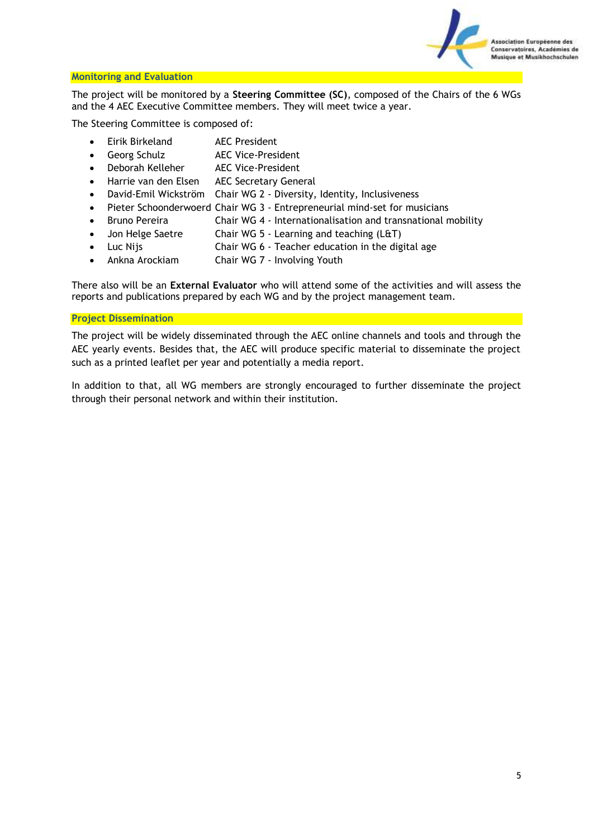

# <span id="page-4-0"></span>**Monitoring and Evaluation**

The project will be monitored by a **Steering Committee (SC)**, composed of the Chairs of the 6 WGs and the 4 AEC Executive Committee members. They will meet twice a year.

The Steering Committee is composed of:

- Eirik Birkeland AEC President
- Georg Schulz AEC Vice-President
- Deborah Kelleher AEC Vice-President
- Harrie van den Elsen AEC Secretary General
- David-Emil Wickström Chair WG 2 Diversity, Identity, Inclusiveness
- Pieter Schoonderwoerd Chair WG 3 Entrepreneurial mind-set for musicians
- Bruno Pereira Chair WG 4 Internationalisation and transnational mobility
- Jon Helge Saetre Chair WG 5 Learning and teaching (L&T)
- Luc Nijs Chair WG 6 Teacher education in the digital age
- Ankna Arockiam Chair WG 7 Involving Youth

There also will be an **External Evaluator** who will attend some of the activities and will assess the reports and publications prepared by each WG and by the project management team.

# <span id="page-4-1"></span>**Project Dissemination**

The project will be widely disseminated through the AEC online channels and tools and through the AEC yearly events. Besides that, the AEC will produce specific material to disseminate the project such as a printed leaflet per year and potentially a media report.

In addition to that, all WG members are strongly encouraged to further disseminate the project through their personal network and within their institution.